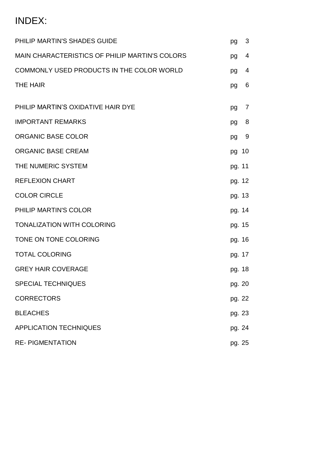### INDEX:

| PHILIP MARTIN'S SHADES GUIDE                          | pg     | 3 |
|-------------------------------------------------------|--------|---|
| <b>MAIN CHARACTERISTICS OF PHILIP MARTIN'S COLORS</b> | pg     | 4 |
| COMMONLY USED PRODUCTS IN THE COLOR WORLD             | pg     | 4 |
| <b>THE HAIR</b>                                       | pg     | 6 |
| PHILIP MARTIN'S OXIDATIVE HAIR DYE                    | pg     | 7 |
| <b>IMPORTANT REMARKS</b>                              | pg     | 8 |
| <b>ORGANIC BASE COLOR</b>                             | pg     | 9 |
| <b>ORGANIC BASE CREAM</b>                             | pg 10  |   |
| THE NUMERIC SYSTEM                                    | pg. 11 |   |
| <b>REFLEXION CHART</b>                                | pg. 12 |   |
| <b>COLOR CIRCLE</b>                                   | pg. 13 |   |
| PHILIP MARTIN'S COLOR                                 | pg. 14 |   |
| <b>TONALIZATION WITH COLORING</b>                     | pg. 15 |   |
| TONE ON TONE COLORING                                 | pg. 16 |   |
| <b>TOTAL COLORING</b>                                 | pg. 17 |   |
| <b>GREY HAIR COVERAGE</b>                             | pg. 18 |   |
| <b>SPECIAL TECHNIQUES</b>                             | pg. 20 |   |
| <b>CORRECTORS</b>                                     | pg. 22 |   |
| <b>BLEACHES</b>                                       | pg. 23 |   |
| <b>APPLICATION TECHNIQUES</b>                         | pg. 24 |   |
| <b>RE-PIGMENTATION</b>                                | pg. 25 |   |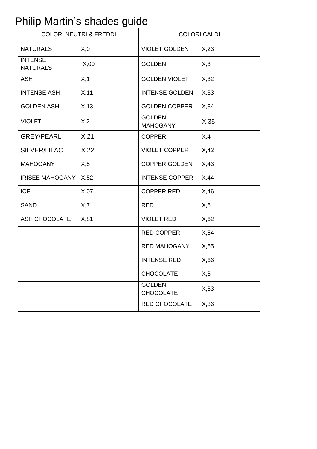# Philip Martin's shades guide

| <b>COLORI NEUTRI &amp; FREDDI</b> |       | <b>COLORI CALDI</b>               |       |  |
|-----------------------------------|-------|-----------------------------------|-------|--|
| <b>NATURALS</b>                   | X,0   | <b>VIOLET GOLDEN</b>              | X, 23 |  |
| <b>INTENSE</b><br><b>NATURALS</b> | X,00  | <b>GOLDEN</b>                     | X,3   |  |
| <b>ASH</b>                        | X, 1  | <b>GOLDEN VIOLET</b>              | X,32  |  |
| <b>INTENSE ASH</b>                | X, 11 | <b>INTENSE GOLDEN</b>             | X,33  |  |
| <b>GOLDEN ASH</b>                 | X, 13 | <b>GOLDEN COPPER</b>              | X,34  |  |
| <b>VIOLET</b>                     | X,2   | <b>GOLDEN</b><br><b>MAHOGANY</b>  | X,35  |  |
| <b>GREY/PEARL</b>                 | X,21  | <b>COPPER</b>                     | X,4   |  |
| SILVER/LILAC                      | X,22  | <b>VIOLET COPPER</b>              | X,42  |  |
| <b>MAHOGANY</b>                   | X, 5  | <b>COPPER GOLDEN</b>              | X,43  |  |
| <b>IRISEE MAHOGANY</b>            | X,52  | <b>INTENSE COPPER</b>             | X,44  |  |
| <b>ICE</b>                        | X,07  | <b>COPPER RED</b>                 | X,46  |  |
| <b>SAND</b>                       | X,7   | <b>RED</b>                        | X,6   |  |
| <b>ASH CHOCOLATE</b>              | X, 81 | <b>VIOLET RED</b>                 | X,62  |  |
|                                   |       | <b>RED COPPER</b>                 | X,64  |  |
|                                   |       | <b>RED MAHOGANY</b>               | X,65  |  |
|                                   |       | <b>INTENSE RED</b>                | X,66  |  |
|                                   |       | <b>CHOCOLATE</b>                  | X, 8  |  |
|                                   |       | <b>GOLDEN</b><br><b>CHOCOLATE</b> | X, 83 |  |
|                                   |       | <b>RED CHOCOLATE</b>              | X, 86 |  |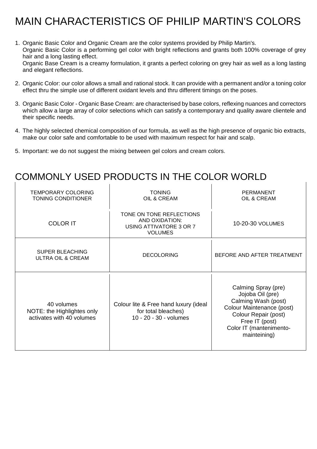# MAIN CHARACTERISTICS OF PHILIP MARTIN'S COLORS

- 1. Organic Basic Color and Organic Cream are the color systems provided by Philip Martin's. Organic Basic Color is a performing gel color with bright reflections and grants both 100% coverage of grey hair and a long lasting effect. Organic Base Cream is a creamy formulation, it grants a perfect coloring on grey hair as well as a long lasting and elegant reflections.
- 2. Organic Color: our color allows a small and rational stock. It can provide with a permanent and/or a toning color effect thru the simple use of different oxidant levels and thru different timings on the poses.
- 3. Organic Basic Color Organic Base Cream: are characterised by base colors, reflexing nuances and correctors which allow a large array of color selections which can satisfy a contemporary and quality aware clientele and their specific needs.
- 4. The highly selected chemical composition of our formula, as well as the high presence of organic bio extracts, make our color safe and comfortable to be used with maximum respect for hair and scalp.

 $\overline{1}$ 

5. Important: we do not suggest the mixing between gel colors and cream colors.

### COMMONLY USED PRODUCTS IN THE COLOR WORLD

| TEMPORARY COLORING<br><b>TONING CONDITIONER</b>                       | <b>TONING</b><br>OIL & CREAM                                                            | PERMANENT<br>OIL & CREAM                                                                                                                                                         |
|-----------------------------------------------------------------------|-----------------------------------------------------------------------------------------|----------------------------------------------------------------------------------------------------------------------------------------------------------------------------------|
| <b>COLOR IT</b>                                                       | TONE ON TONE REFLECTIONS<br>AND OXIDATION:<br>USING ATTIVATORE 3 OR 7<br><b>VOLUMES</b> | 10-20-30 VOLUMES                                                                                                                                                                 |
| <b>SUPER BLEACHING</b><br>ULTRA OIL & CREAM                           | <b>DECOLORING</b>                                                                       | BEFORE AND AFTER TREATMENT                                                                                                                                                       |
| 40 volumes<br>NOTE: the Highlightes only<br>activates with 40 volumes | Colour lite & Free hand luxury (ideal<br>for total bleaches)<br>10 - 20 - 30 - volumes  | Calming Spray (pre)<br>Jojoba Oil (pre)<br>Calming Wash (post)<br>Colour Maintenance (post)<br>Colour Repair (post)<br>Free IT (post)<br>Color IT (mantenimento-<br>mainteining) |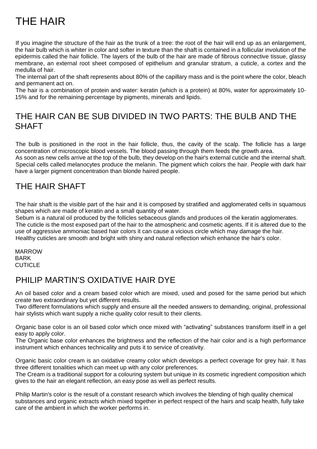# THE HAIR

If you imagine the structure of the hair as the trunk of a tree: the root of the hair will end up as an enlargement, the hair bulb which is whiter in color and softer in texture than the shaft is contained in a follicular involution of the epidermis called the hair follicle. The layers of the bulb of the hair are made of fibrous connective tissue, glassy membrane, an external root sheet composed of epithelium and granular stratum, a cuticle, a cortex and the medulla of hair.

The internal part of the shaft represents about 80% of the capillary mass and is the point where the color, bleach and permanent act on.

The hair is a combination of protein and water: keratin (which is a protein) at 80%, water for approximately 10- 15% and for the remaining percentage by pigments, minerals and lipids.

### THE HAIR CAN BE SUB DIVIDED IN TWO PARTS: THE BULB AND THE **SHAFT**

The bulb is positioned in the root in the hair follicle, thus, the cavity of the scalp. The follicle has a large concentration of microscopic blood vessels. The blood passing through them feeds the growth area. As soon as new cells arrive at the top of the bulb, they develop on the hair's external cuticle and the internal shaft. Special cells called melanocytes produce the melanin. The pigment which colors the hair. People with dark hair have a larger pigment concentration than blonde haired people.

### THE HAIR SHAFT

The hair shaft is the visible part of the hair and it is composed by stratified and agglomerated cells in squamous shapes which are made of keratin and a small quantity of water.

Sebum is a natural oil produced by the follicles sebaceous glands and produces oil the keratin agglomerates. The cuticle is the most exposed part of the hair to the atmospheric and cosmetic agents. If it is altered due to the use of aggressive ammoniac based hair colors it can cause a vicious circle which may damage the hair. Healthy cuticles are smooth and bright with shiny and natural reflection which enhance the hair's color.

MARROW BARK **CUTICLE** 

### PHILIP MARTIN'S OXIDATIVE HAIR DYE

An oil based color and a cream based color which are mixed, used and posed for the same period but which create two extraordinary but yet different results.

Two different formulations which supply and ensure all the needed answers to demanding, original, professional hair stylists which want supply a niche quality color result to their clients.

Organic base color is an oil based color which once mixed with "activating" substances transform itself in a gel easy to apply color.

The Organic base color enhances the brightness and the reflection of the hair color and is a high performance instrument which enhances technicality and puts it to service of creativity.

Organic basic color cream is an oxidative creamy color which develops a perfect coverage for grey hair. It has three different tonalities which can meet up with any color preferences.

The Cream is a traditional support for a colouring system but unique in its cosmetic ingredient composition which gives to the hair an elegant reflection, an easy pose as well as perfect results.

Philip Martin's color is the result of a constant research which involves the blending of high quality chemical substances and organic extracts which mixed together in perfect respect of the hairs and scalp health, fully take care of the ambient in which the worker performs in.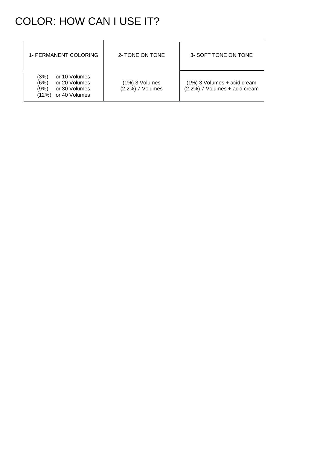## COLOR: HOW CAN I USE IT?

| 1- PERMANENT COLORING                                                                             | 2- TONE ON TONE                    | 3- SOFT TONE ON TONE                                         |
|---------------------------------------------------------------------------------------------------|------------------------------------|--------------------------------------------------------------|
| (3%)<br>or 10 Volumes<br>(6%)<br>or 20 Volumes<br>(9%)<br>or 30 Volumes<br>or 40 Volumes<br>(12%) | (1%) 3 Volumes<br>(2.2%) 7 Volumes | (1%) 3 Volumes + acid cream<br>(2.2%) 7 Volumes + acid cream |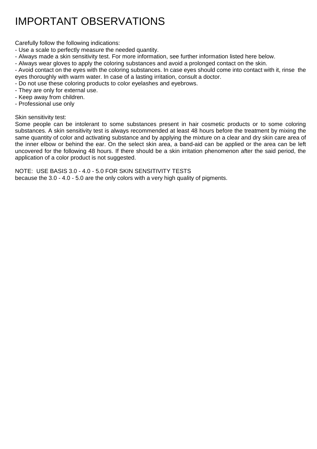## IMPORTANT OBSERVATIONS

Carefully follow the following indications:

- Use a scale to perfectly measure the needed quantity.
- Always made a skin sensitivity test. For more information, see further information listed here below.
- Always wear gloves to apply the coloring substances and avoid a prolonged contact on the skin.

- Avoid contact on the eyes with the coloring substances. In case eyes should come into contact with it, rinse the eyes thoroughly with warm water. In case of a lasting irritation, consult a doctor.

- Do not use these coloring products to color eyelashes and eyebrows.
- They are only for external use.
- Keep away from children.
- Professional use only

#### Skin sensitivity test:

Some people can be intolerant to some substances present in hair cosmetic products or to some coloring substances. A skin sensitivity test is always recommended at least 48 hours before the treatment by mixing the same quantity of color and activating substance and by applying the mixture on a clear and dry skin care area of the inner elbow or behind the ear. On the select skin area, a band-aid can be applied or the area can be left uncovered for the following 48 hours. If there should be a skin irritation phenomenon after the said period, the application of a color product is not suggested.

NOTE: USE BASIS 3.0 - 4.0 - 5.0 FOR SKIN SENSITIVITY TESTS because the 3.0 - 4.0 - 5.0 are the only colors with a very high quality of pigments.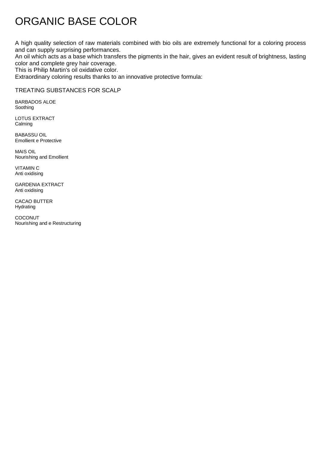# ORGANIC BASE COLOR

A high quality selection of raw materials combined with bio oils are extremely functional for a coloring process and can supply surprising performances.

An oil which acts as a base which transfers the pigments in the hair, gives an evident result of brightness, lasting color and complete grey hair coverage.

This is Philip Martin's oil oxidative color.

Extraordinary coloring results thanks to an innovative protective formula:

#### TREATING SUBSTANCES FOR SCALP

BARBADOS ALOE Soothing

LOTUS EXTRACT Calming

BABASSU OIL Emollient e Protective

MAIS OIL Nourishing and Emollient

VITAMIN C Anti oxidising

GARDENIA EXTRACT Anti oxidising

CACAO BUTTER Hydrating

COCONUT Nourishing and e Restructuring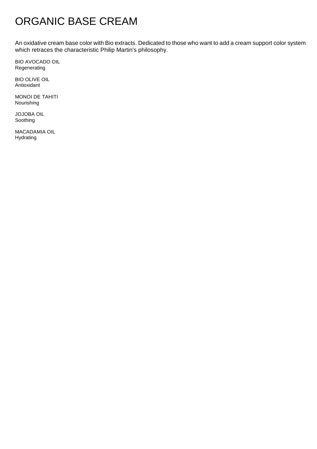## ORGANIC BASE CREAM

An oxidative cream base color with Bio extracts. Dedicated to those who want to add a cream support color system which retraces the characteristic Philip Martin's philosophy.

BIO AVOCADO OIL Regenerating

BIO OLIVE OIL Antioxidant

MONOI DE TAHITI Nourishing

JOJOBA OIL Soothing

MACADAMIA OIL Hydrating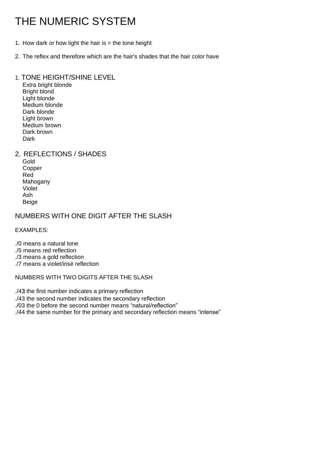# THE NUMERIC SYSTEM

- 1. How dark or how light the hair is  $=$  the tone height
- 2. The reflex and therefore which are the hair's shades that the hair color have

#### 1. TONE HEIGHT/SHINE LEVEL

Extra bright blonde Bright blond Light blonde Medium blonde Dark blonde Light brown Medium brown Dark brown **Dark** 

#### 2. REFLECTIONS / SHADES

Gold Copper Red Mahogany Violet Ash Beige

#### NUMBERS WITH ONE DIGIT AFTER THE SLASH

EXAMPLES:

- ./0 means a natural tone
- ./5 means red reflection
- ./3 means a gold reflection
- ./7 means a violet/irisé reflection

#### NUMBERS WITH TWO DIGITS AFTER THE SLASH

./43 the first number indicates a primary reflection

./43 the second number indicates the secondary reflection

./03 the 0 before the second number means "natural/reflection"

./44 the same number for the primary and secondary reflection means "intense"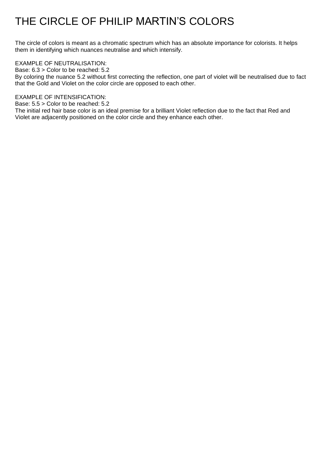## THE CIRCLE OF PHILIP MARTIN'S COLORS

The circle of colors is meant as a chromatic spectrum which has an absolute importance for colorists. It helps them in identifying which nuances neutralise and which intensify.

#### EXAMPLE OF NEUTRALISATION:

Base: 6.3 > Color to be reached: 5.2

By coloring the nuance 5.2 without first correcting the reflection, one part of violet will be neutralised due to fact that the Gold and Violet on the color circle are opposed to each other.

#### EXAMPLE OF INTENSIFICATION:

Base: 5.5 > Color to be reached: 5.2

The initial red hair base color is an ideal premise for a brilliant Violet reflection due to the fact that Red and Violet are adjacently positioned on the color circle and they enhance each other.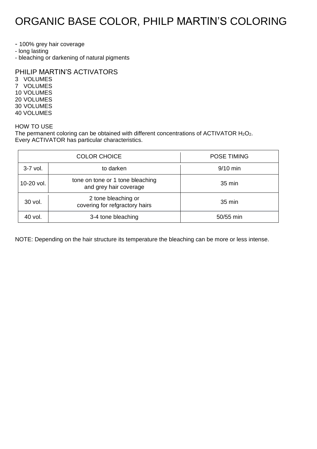## ORGANIC BASE COLOR, PHILP MARTIN'S COLORING

- 100% grey hair coverage

- long lasting

- bleaching or darkening of natural pigments

PHILIP MARTIN'S ACTIVATORS

3 VOLUMES 7 VOLUMES 10 VOLUMES 20 VOLUMES 30 VOLUMES 40 VOLUMES

#### HOW TO USE

The permanent coloring can be obtained with different concentrations of ACTIVATOR  $H_2O_2$ . Every ACTIVATOR has particular characteristics.

|              | <b>COLOR CHOICE</b>                                        | <b>POSE TIMING</b> |
|--------------|------------------------------------------------------------|--------------------|
| $3-7$ vol.   | to darken                                                  | $9/10$ min         |
| $10-20$ vol. | tone on tone or 1 tone bleaching<br>and grey hair coverage | $35 \text{ min}$   |
| 30 vol.      | 2 tone bleaching or<br>covering for refgractory hairs      | $35 \text{ min}$   |
| 40 vol.      | 3-4 tone bleaching                                         | 50/55 min          |

NOTE: Depending on the hair structure its temperature the bleaching can be more or less intense.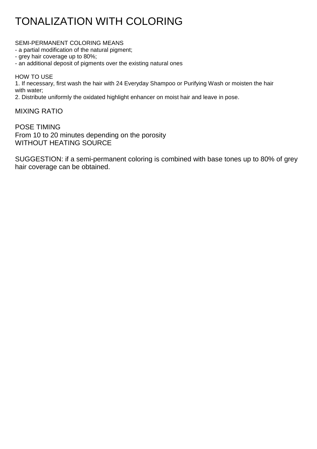# TONALIZATION WITH COLORING

SEMI-PERMANENT COLORING MEANS

- a partial modification of the natural pigment;

- grey hair coverage up to 80%;

- an additional deposit of pigments over the existing natural ones

HOW TO USE

1. If necessary, first wash the hair with 24 Everyday Shampoo or Purifying Wash or moisten the hair with water;

2. Distribute uniformly the oxidated highlight enhancer on moist hair and leave in pose.

MIXING RATIO

POSE TIMING From 10 to 20 minutes depending on the porosity WITHOUT HEATING SOURCE

SUGGESTION: if a semi-permanent coloring is combined with base tones up to 80% of grey hair coverage can be obtained.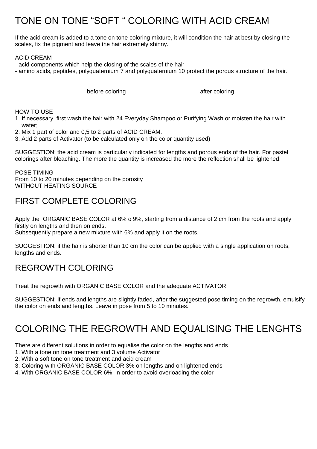### TONE ON TONE "SOFT " COLORING WITH ACID CREAM

If the acid cream is added to a tone on tone coloring mixture, it will condition the hair at best by closing the scales, fix the pigment and leave the hair extremely shinny.

#### ACID CREAM

- acid components which help the closing of the scales of the hair

- amino acids, peptides, polyquaternium 7 and polyquaternium 10 protect the porous structure of the hair.

before coloring after coloring before coloring

HOW TO USE

- 1. If necessary, first wash the hair with 24 Everyday Shampoo or Purifying Wash or moisten the hair with water;
- 2. Mix 1 part of color and 0,5 to 2 parts of ACID CREAM.
- 3. Add 2 parts of Activator (to be calculated only on the color quantity used)

SUGGESTION: the acid cream is particularly indicated for lengths and porous ends of the hair. For pastel colorings after bleaching. The more the quantity is increased the more the reflection shall be lightened.

POSE TIMING From 10 to 20 minutes depending on the porosity WITHOUT HEATING SOURCE

### FIRST COMPLETE COLORING

Apply the ORGANIC BASE COLOR at 6% o 9%, starting from a distance of 2 cm from the roots and apply firstly on lengths and then on ends.

Subsequently prepare a new mixture with 6% and apply it on the roots.

SUGGESTION: if the hair is shorter than 10 cm the color can be applied with a single application on roots, lengths and ends.

### REGROWTH COLORING

Treat the regrowth with ORGANIC BASE COLOR and the adequate ACTIVATOR

SUGGESTION: if ends and lengths are slightly faded, after the suggested pose timing on the regrowth, emulsify the color on ends and lengths. Leave in pose from 5 to 10 minutes.

### COLORING THE REGROWTH AND EQUALISING THE LENGHTS

There are different solutions in order to equalise the color on the lengths and ends

- 1. With a tone on tone treatment and 3 volume Activator
- 2. With a soft tone on tone treatment and acid cream
- 3. Coloring with ORGANIC BASE COLOR 3% on lengths and on lightened ends
- 4. With ORGANIC BASE COLOR 6% in order to avoid overloading the color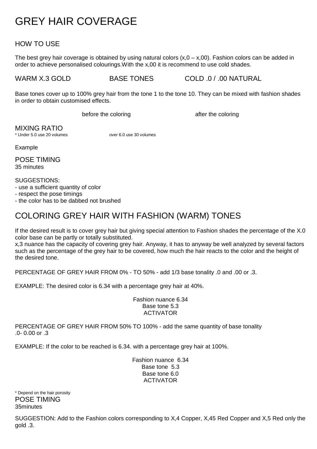## GREY HAIR COVERAGE

#### HOW TO USE

The best grey hair coverage is obtained by using natural colors  $(x,0 - x,00)$ . Fashion colors can be added in order to achieve personalised colourings.With the x,00 it is recommend to use cold shades.

WARM X.3 GOLD BASE TONES COLD .0 / .00 NATURAL

Base tones cover up to 100% grey hair from the tone 1 to the tone 10. They can be mixed with fashion shades in order to obtain customised effects.

before the coloring before the coloring

MIXING RATIO

\* Under 5.0 use 20 volumes over 6.0 use 30 volumes

Example

POSE TIMING 35 minutes

SUGGESTIONS:

- use a sufficient quantity of color

- respect the pose timings

- the color has to be dabbed not brushed

### COLORING GREY HAIR WITH FASHION (WARM) TONES

If the desired result is to cover grey hair but giving special attention to Fashion shades the percentage of the X.0 color base can be partly or totally substituted.

x,3 nuance has the capacity of covering grey hair. Anyway, it has to anyway be well analyzed by several factors such as the percentage of the grey hair to be covered, how much the hair reacts to the color and the height of the desired tone.

PERCENTAGE OF GREY HAIR FROM 0% - TO 50% - add 1/3 base tonality .0 and .00 or .3.

EXAMPLE: The desired color is 6.34 with a percentage grey hair at 40%.

Fashion nuance 6.34 Base tone 5.3 ACTIVATOR

PERCENTAGE OF GREY HAIR FROM 50% TO 100% - add the same quantity of base tonality .0- 0.00 or .3

EXAMPLE: If the color to be reached is 6.34. with a percentage grey hair at 100%.

Fashion nuance 6.34 Base tone 5.3 Base tone 6.0 ACTIVATOR

\* Depend on the hair porosity POSE TIMING 35minutes

SUGGESTION: Add to the Fashion colors corresponding to X,4 Copper, X,45 Red Copper and X,5 Red only the gold .3.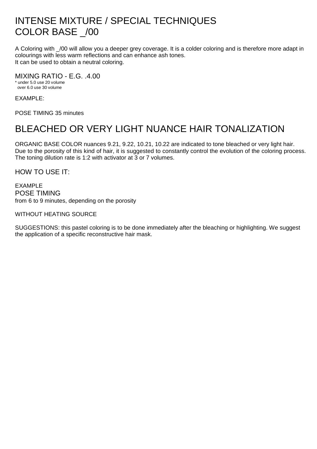### INTENSE MIXTURE / SPECIAL TECHNIQUES COLOR BASE \_/00

A Coloring with \_/00 will allow you a deeper grey coverage. It is a colder coloring and is therefore more adapt in colourings with less warm reflections and can enhance ash tones. It can be used to obtain a neutral coloring.

MIXING RATIO - E.G. .4.00

\* under 5.0 use 20 volume over 6.0 use 30 volume

EXAMPLE:

POSE TIMING 35 minutes

### BLEACHED OR VERY LIGHT NUANCE HAIR TONALIZATION

ORGANIC BASE COLOR nuances 9.21, 9.22, 10.21, 10.22 are indicated to tone bleached or very light hair. Due to the porosity of this kind of hair, it is suggested to constantly control the evolution of the coloring process. The toning dilution rate is 1:2 with activator at 3 or 7 volumes.

HOW TO USE IT:

EXAMPLE POSE TIMING from 6 to 9 minutes, depending on the porosity

WITHOUT HEATING SOURCE

SUGGESTIONS: this pastel coloring is to be done immediately after the bleaching or highlighting. We suggest the application of a specific reconstructive hair mask.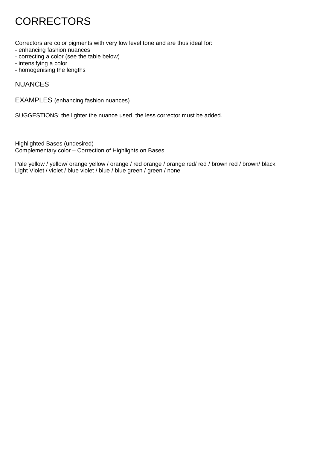# **CORRECTORS**

Correctors are color pigments with very low level tone and are thus ideal for:

- enhancing fashion nuances
- correcting a color (see the table below)
- intensifying a color
- homogenising the lengths

#### NUANCES

EXAMPLES (enhancing fashion nuances)

SUGGESTIONS: the lighter the nuance used, the less corrector must be added.

Highlighted Bases (undesired) Complementary color – Correction of Highlights on Bases

Pale yellow / yellow/ orange yellow / orange / red orange / orange red/ red / brown red / brown/ black Light Violet / violet / blue violet / blue / blue green / green / none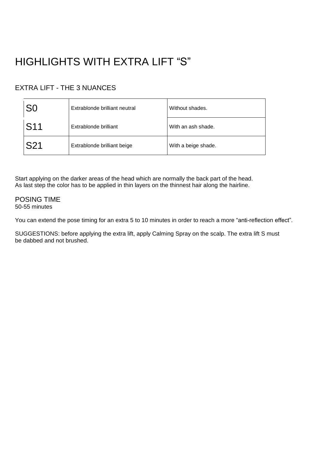# HIGHLIGHTS WITH EXTRA LIFT "S"

#### EXTRA LIFT - THE 3 NUANCES

| S0              | Extrablonde brilliant neutral | Without shades.     |
|-----------------|-------------------------------|---------------------|
| S <sub>11</sub> | Extrablonde brilliant         | With an ash shade.  |
| S21             | Extrablonde brilliant beige   | With a beige shade. |

Start applying on the darker areas of the head which are normally the back part of the head. As last step the color has to be applied in thin layers on the thinnest hair along the hairline.

POSING TIME 50-55 minutes

You can extend the pose timing for an extra 5 to 10 minutes in order to reach a more "anti-reflection effect".

SUGGESTIONS: before applying the extra lift, apply Calming Spray on the scalp. The extra lift S must be dabbed and not brushed.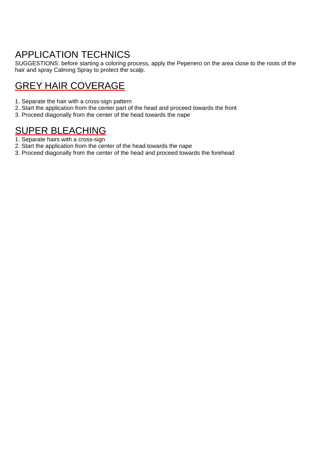### APPLICATION TECHNICS

SUGGESTIONS: before starting a coloring process, apply the Pepenero on the area close to the roots of the hair and spray Calming Spray to protect the scalp.

### GREY HAIR COVERAGE

- 1. Separate the hair with a cross-sign pattern
- 2. Start the application from the center part of the head and proceed towards the front
- 3. Proceed diagonally from the center of the head towards the nape

### SUPER BLEACHING

- 1. Separate hairs with a cross-sign
- 2. Start the application from the center of the head towards the nape
- 3. Proceed diagonally from the center of the head and proceed towards the forehead